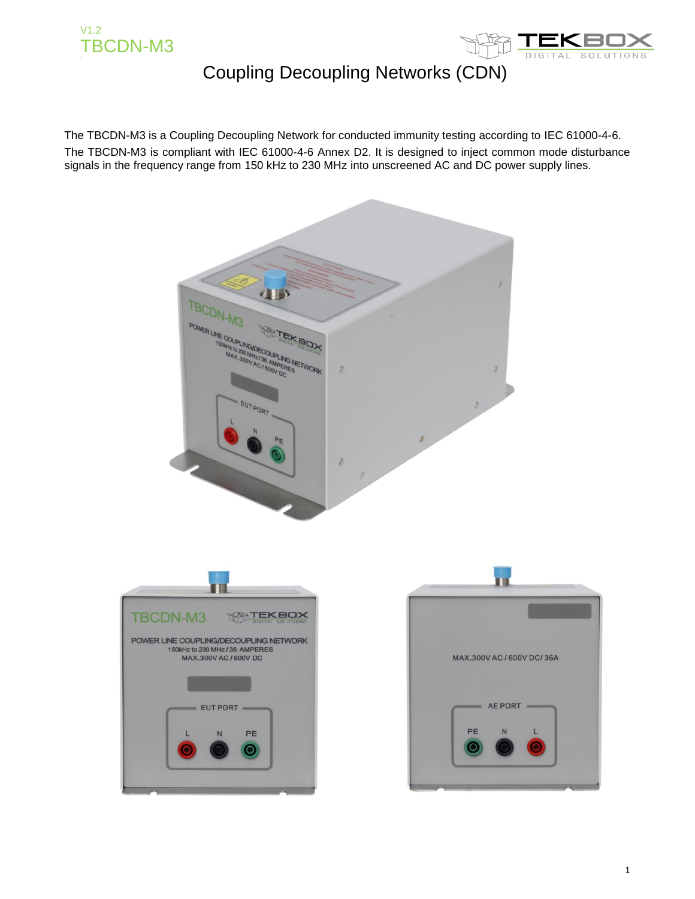



The TBCDN-M3 is a Coupling Decoupling Network for conducted immunity testing according to IEC 61000-4-6. The TBCDN-M3 is compliant with IEC 61000-4-6 Annex D2. It is designed to inject common mode disturbance signals in the frequency range from 150 kHz to 230 MHz into unscreened AC and DC power supply lines.

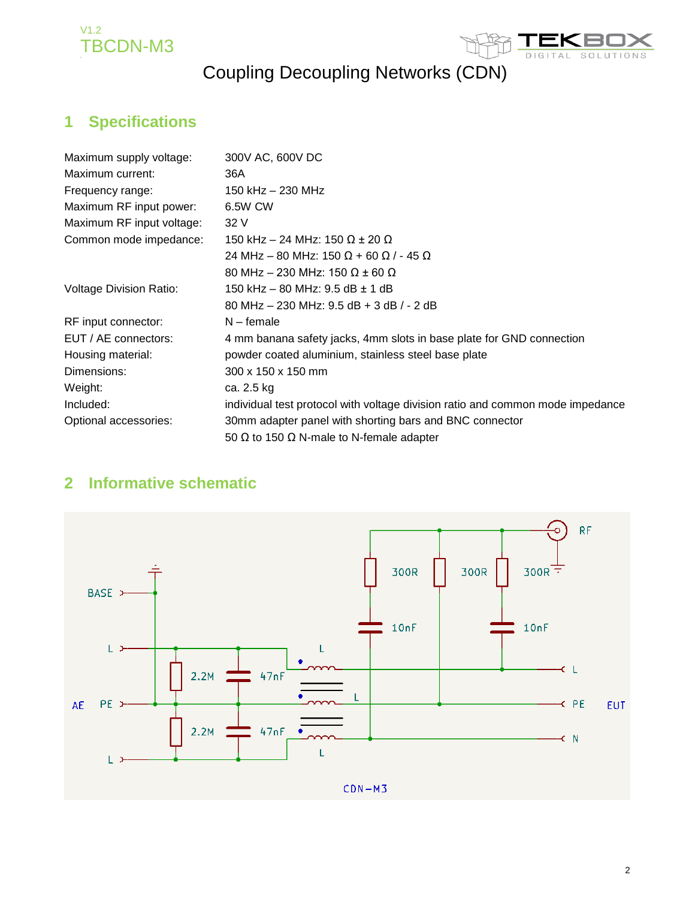



#### **1 Specifications**

| Maximum supply voltage:        | 300V AC, 600V DC                                                               |
|--------------------------------|--------------------------------------------------------------------------------|
| Maximum current:               | 36A                                                                            |
| Frequency range:               | 150 kHz - 230 MHz                                                              |
| Maximum RF input power:        | 6.5W CW                                                                        |
| Maximum RF input voltage:      | 32 V                                                                           |
| Common mode impedance:         | 150 kHz – 24 MHz: 150 Ω ± 20 Ω                                                 |
|                                | 24 MHz – 80 MHz: 150 Ω + 60 Ω / - 45 Ω                                         |
|                                | 80 MHz – 230 MHz: 150 Ω ± 60 Ω                                                 |
| <b>Voltage Division Ratio:</b> | 150 kHz – 80 MHz: 9.5 dB ± 1 dB                                                |
|                                | 80 MHz $-$ 230 MHz: 9.5 dB $+$ 3 dB $/$ - 2 dB                                 |
| RF input connector:            | $N$ – female                                                                   |
| EUT / AE connectors:           | 4 mm banana safety jacks, 4mm slots in base plate for GND connection           |
| Housing material:              | powder coated aluminium, stainless steel base plate                            |
| Dimensions:                    | 300 x 150 x 150 mm                                                             |
| Weight:                        | ca. 2.5 kg                                                                     |
| Included:                      | individual test protocol with voltage division ratio and common mode impedance |
| Optional accessories:          | 30mm adapter panel with shorting bars and BNC connector                        |
|                                | 50 $\Omega$ to 150 $\Omega$ N-male to N-female adapter                         |

#### **2 Informative schematic**

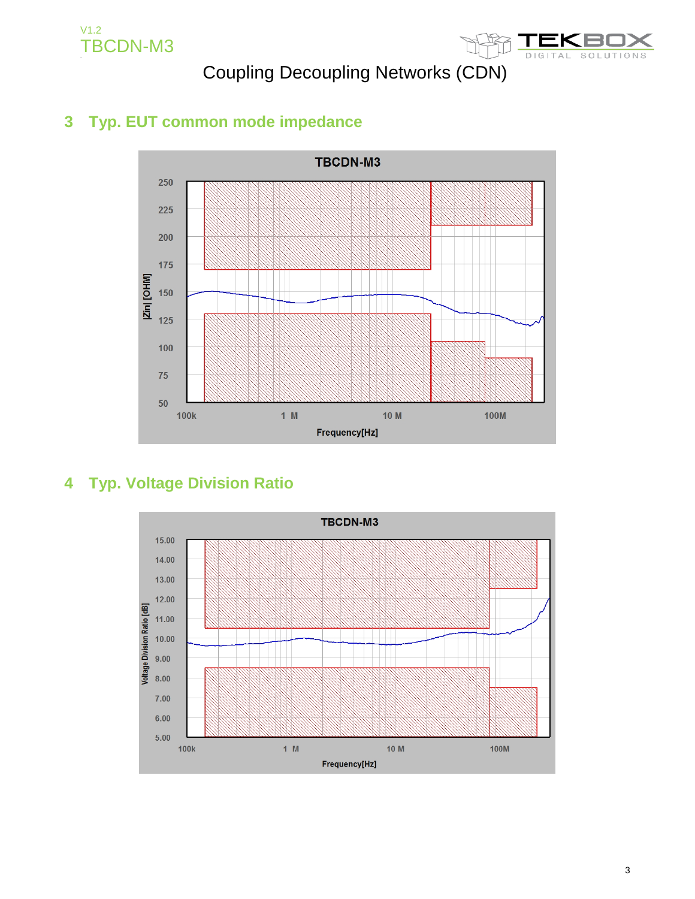V1.2 TBCDN-M3

# Coupling Decoupling Networks (CDN)



#### **3 Typ. EUT common mode impedance**



#### **4 Typ. Voltage Division Ratio**

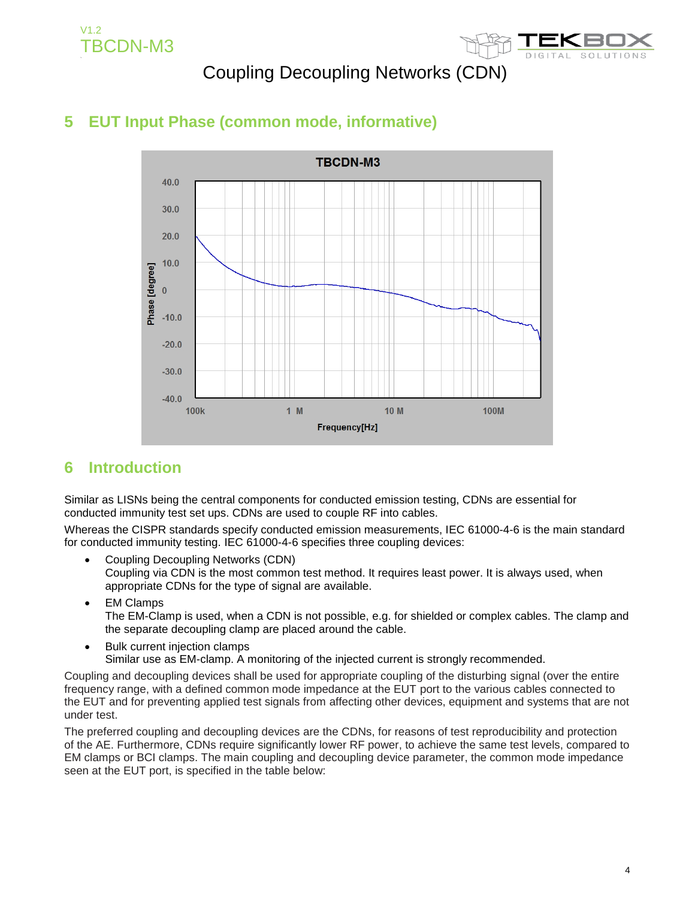V1.2 TBCDN-M3



### Coupling Decoupling Networks (CDN)

### **5 EUT Input Phase (common mode, informative)**



#### **6 Introduction**

Similar as LISNs being the central components for conducted emission testing, CDNs are essential for conducted immunity test set ups. CDNs are used to couple RF into cables.

Whereas the CISPR standards specify conducted emission measurements, IEC 61000-4-6 is the main standard for conducted immunity testing. IEC 61000-4-6 specifies three coupling devices:

- Coupling Decoupling Networks (CDN) Coupling via CDN is the most common test method. It requires least power. It is always used, when appropriate CDNs for the type of signal are available.
- EM Clamps The EM-Clamp is used, when a CDN is not possible, e.g. for shielded or complex cables. The clamp and the separate decoupling clamp are placed around the cable.
- Bulk current injection clamps Similar use as EM-clamp. A monitoring of the injected current is strongly recommended.

Coupling and decoupling devices shall be used for appropriate coupling of the disturbing signal (over the entire frequency range, with a defined common mode impedance at the EUT port to the various cables connected to the EUT and for preventing applied test signals from affecting other devices, equipment and systems that are not under test.

The preferred coupling and decoupling devices are the CDNs, for reasons of test reproducibility and protection of the AE. Furthermore, CDNs require significantly lower RF power, to achieve the same test levels, compared to EM clamps or BCI clamps. The main coupling and decoupling device parameter, the common mode impedance seen at the EUT port, is specified in the table below: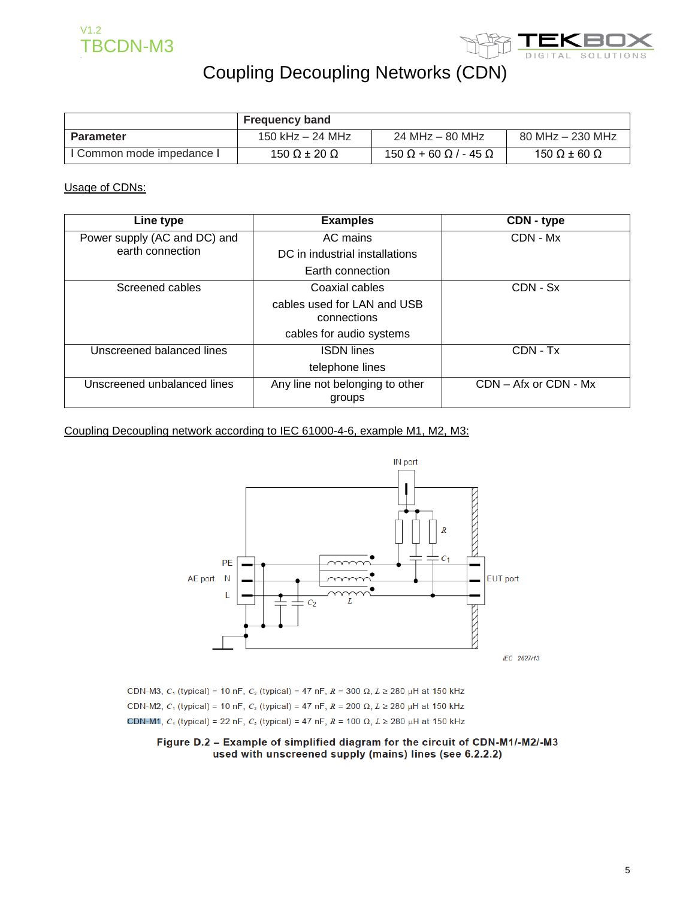



|                           | <b>Frequency band</b>      |                                          |                      |
|---------------------------|----------------------------|------------------------------------------|----------------------|
| Parameter                 | 150 kHz – 24 MHz           | 24 MHz – 80 MHz                          | $80$ MHz $-$ 230 MHz |
| I Common mode impedance I | 150 $\Omega$ ± 20 $\Omega$ | $150 \Omega + 60 \Omega$ / - 45 $\Omega$ | 150 Ω $\pm$ 60 Ω     |

Usage of CDNs:

| Line type                                                                | <b>Examples</b>                            | CDN - type                |
|--------------------------------------------------------------------------|--------------------------------------------|---------------------------|
| Power supply (AC and DC) and                                             | AC mains                                   | CDN - Mx                  |
| earth connection                                                         | DC in industrial installations             |                           |
|                                                                          | Earth connection                           |                           |
| Screened cables                                                          | Coaxial cables                             | $CDN - Sx$                |
|                                                                          | cables used for LAN and USB<br>connections |                           |
|                                                                          | cables for audio systems                   |                           |
| Unscreened balanced lines                                                | <b>ISDN</b> lines                          | CDN - Tx                  |
|                                                                          | telephone lines                            |                           |
| Any line not belonging to other<br>Unscreened unbalanced lines<br>groups |                                            | $CDN - Afx$ or $CDN - Mx$ |

Coupling Decoupling network according to IEC 61000-4-6, example M1, M2, M3:



CDN-M3,  $C_1$  (typical) = 10 nF,  $C_2$  (typical) = 47 nF,  $R = 300 \Omega$ ,  $L \ge 280 \mu$ H at 150 kHz CDN-M2,  $C_1$  (typical) = 10 nF,  $C_2$  (typical) = 47 nF,  $R = 200 \Omega$ ,  $L \ge 280 \mu$ H at 150 kHz CDN-M1,  $C_1$  (typical) = 22 nF,  $C_2$  (typical) = 47 nF,  $R = 100 \Omega$ ,  $L \ge 280 \mu$ H at 150 kHz

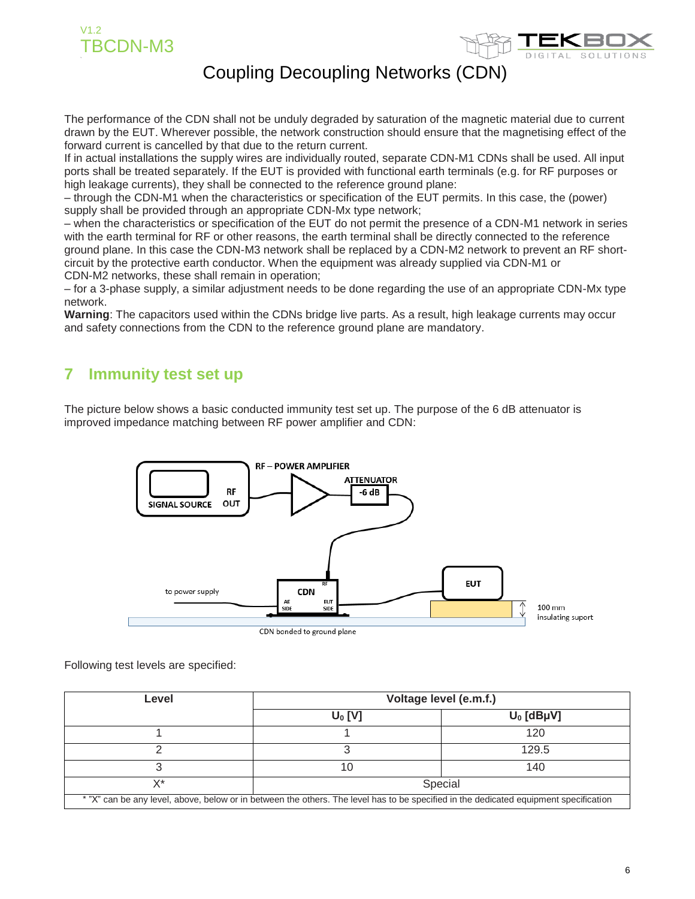



The performance of the CDN shall not be unduly degraded by saturation of the magnetic material due to current drawn by the EUT. Wherever possible, the network construction should ensure that the magnetising effect of the forward current is cancelled by that due to the return current.

If in actual installations the supply wires are individually routed, separate CDN-M1 CDNs shall be used. All input ports shall be treated separately. If the EUT is provided with functional earth terminals (e.g. for RF purposes or high leakage currents), they shall be connected to the reference ground plane:

– through the CDN-M1 when the characteristics or specification of the EUT permits. In this case, the (power) supply shall be provided through an appropriate CDN-Mx type network;

– when the characteristics or specification of the EUT do not permit the presence of a CDN-M1 network in series with the earth terminal for RF or other reasons, the earth terminal shall be directly connected to the reference ground plane. In this case the CDN-M3 network shall be replaced by a CDN-M2 network to prevent an RF shortcircuit by the protective earth conductor. When the equipment was already supplied via CDN-M1 or CDN-M2 networks, these shall remain in operation;

– for a 3-phase supply, a similar adjustment needs to be done regarding the use of an appropriate CDN-Mx type network.

**Warning**: The capacitors used within the CDNs bridge live parts. As a result, high leakage currents may occur and safety connections from the CDN to the reference ground plane are mandatory.

#### **7 Immunity test set up**

The picture below shows a basic conducted immunity test set up. The purpose of the 6 dB attenuator is improved impedance matching between RF power amplifier and CDN:



Following test levels are specified:

| Level                                                                                                                                 | Voltage level (e.m.f.) |              |  |
|---------------------------------------------------------------------------------------------------------------------------------------|------------------------|--------------|--|
|                                                                                                                                       | $U_0$ [V]              | $U_0$ [dBµV] |  |
|                                                                                                                                       |                        | 120          |  |
|                                                                                                                                       |                        | 129.5        |  |
|                                                                                                                                       | 10                     | 140          |  |
| X*                                                                                                                                    |                        | Special      |  |
| * "X" can be any level, above, below or in between the others. The level has to be specified in the dedicated equipment specification |                        |              |  |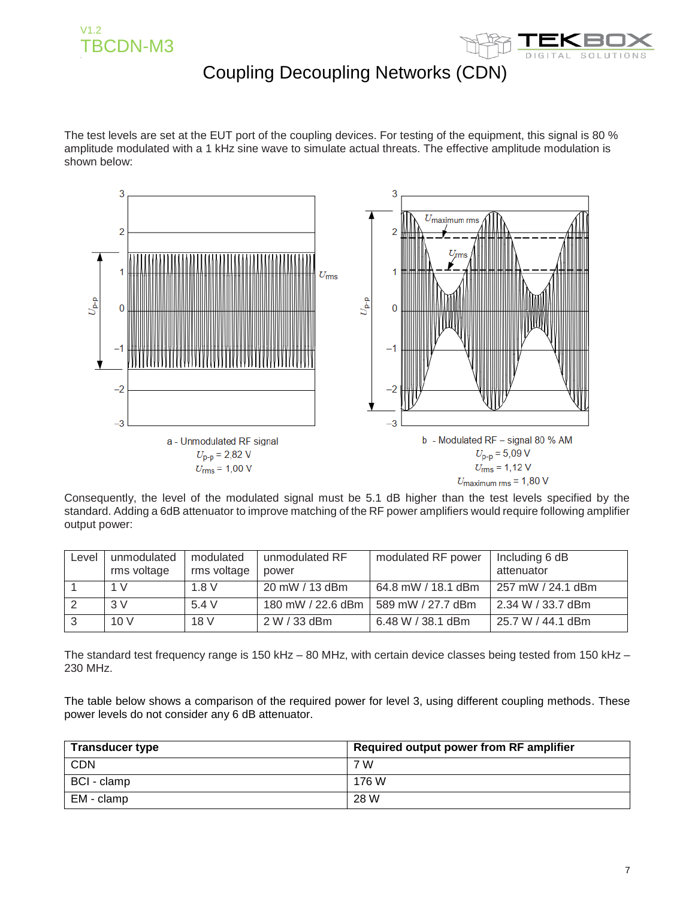



The test levels are set at the EUT port of the coupling devices. For testing of the equipment, this signal is 80 % amplitude modulated with a 1 kHz sine wave to simulate actual threats. The effective amplitude modulation is shown below:



Consequently, the level of the modulated signal must be 5.1 dB higher than the test levels specified by the standard. Adding a 6dB attenuator to improve matching of the RF power amplifiers would require following amplifier output power:

| Level | unmodulated<br>rms voltage | modulated<br>rms voltage | unmodulated RF<br>power | modulated RF power | Including 6 dB<br>attenuator |
|-------|----------------------------|--------------------------|-------------------------|--------------------|------------------------------|
|       | 1 V                        | 1.8V                     | 20 mW / 13 dBm          | 64.8 mW / 18.1 dBm | 257 mW / 24.1 dBm            |
|       | 3V                         | 5.4 V                    | 180 mW / 22.6 dBm       | 589 mW / 27.7 dBm  | 2.34 W / 33.7 dBm            |
|       | 10V                        | 18 V                     | 2 W / 33 dBm            | 6.48 W / 38.1 dBm  | 25.7 W / 44.1 dBm            |

The standard test frequency range is 150 kHz – 80 MHz, with certain device classes being tested from 150 kHz – 230 MHz.

The table below shows a comparison of the required power for level 3, using different coupling methods. These power levels do not consider any 6 dB attenuator.

| <b>Transducer type</b> | Required output power from RF amplifier |
|------------------------|-----------------------------------------|
| <b>CDN</b>             | 7 W                                     |
| BCI - clamp            | 176 W                                   |
| EM - clamp             | 28 W                                    |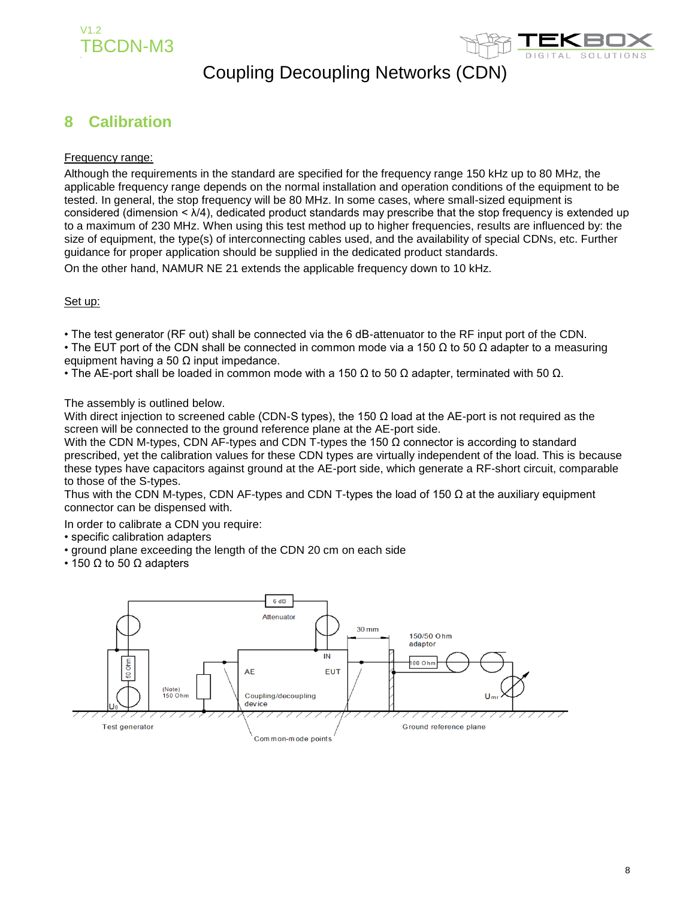



#### **8 Calibration**

#### Frequency range:

Although the requirements in the standard are specified for the frequency range 150 kHz up to 80 MHz, the applicable frequency range depends on the normal installation and operation conditions of the equipment to be tested. In general, the stop frequency will be 80 MHz. In some cases, where small-sized equipment is considered (dimension < λ/4), dedicated product standards may prescribe that the stop frequency is extended up to a maximum of 230 MHz. When using this test method up to higher frequencies, results are influenced by: the size of equipment, the type(s) of interconnecting cables used, and the availability of special CDNs, etc. Further guidance for proper application should be supplied in the dedicated product standards.

On the other hand, NAMUR NE 21 extends the applicable frequency down to 10 kHz.

#### Set up:

• The test generator (RF out) shall be connected via the 6 dB-attenuator to the RF input port of the CDN.

• The EUT port of the CDN shall be connected in common mode via a 150  $\Omega$  to 50  $\Omega$  adapter to a measuring equipment having a 50  $\Omega$  input impedance.

• The AE-port shall be loaded in common mode with a 150  $\Omega$  to 50  $\Omega$  adapter, terminated with 50  $\Omega$ .

The assembly is outlined below.

With direct injection to screened cable (CDN-S types), the 150  $\Omega$  load at the AE-port is not required as the screen will be connected to the ground reference plane at the AE-port side.

With the CDN M-types, CDN AF-types and CDN T-types the 150  $\Omega$  connector is according to standard prescribed, yet the calibration values for these CDN types are virtually independent of the load. This is because these types have capacitors against ground at the AE-port side, which generate a RF-short circuit, comparable to those of the S-types.

Thus with the CDN M-types, CDN AF-types and CDN T-types the load of 150  $\Omega$  at the auxiliary equipment connector can be dispensed with.

In order to calibrate a CDN you require:

- specific calibration adapters
- ground plane exceeding the length of the CDN 20 cm on each side
- 150  $\Omega$  to 50  $\Omega$  adapters

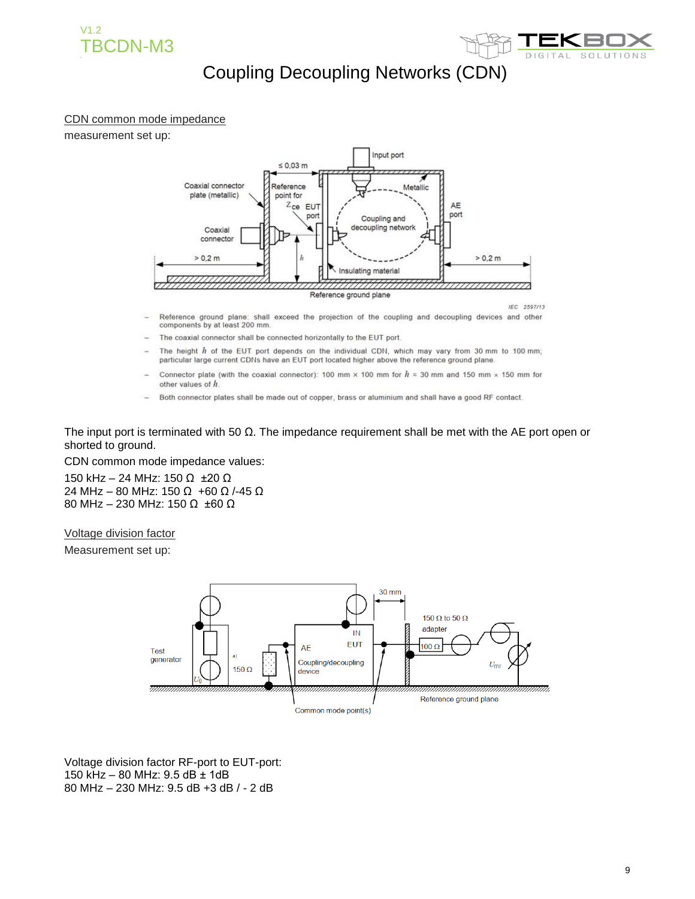



#### CDN common mode impedance

measurement set up:



- Reference ground plane: shall exceed the projection of the coupling and decoupling devices and other components by at least 200 mm.
- The coaxial connector shall be connected horizontally to the EUT port.
- The height  $h$  of the EUT port depends on the individual CDN, which may vary from 30 mm to 100 mm; particular large current CDNs have an EUT port located higher above the reference ground plane.
- Connector plate (with the coaxial connector): 100 mm  $\times$  100 mm for  $h = 30$  mm and 150 mm  $\times$  150 mm for other values of h
- Both connector plates shall be made out of copper, brass or aluminium and shall have a good RF contact.

The input port is terminated with 50  $\Omega$ . The impedance requirement shall be met with the AE port open or shorted to ground.

CDN common mode impedance values:

150 kHz – 24 MHz: 150 Ω ±20 Ω 24 MHz – 80 MHz: 150 Ω +60 Ω /-45 Ω 80 MHz – 230 MHz: 150 Ω ±60 Ω

Voltage division factor

Measurement set up:



Voltage division factor RF-port to EUT-port: 150 kHz – 80 MHz: 9.5 dB ± 1dB 80 MHz – 230 MHz: 9.5 dB +3 dB / - 2 dB